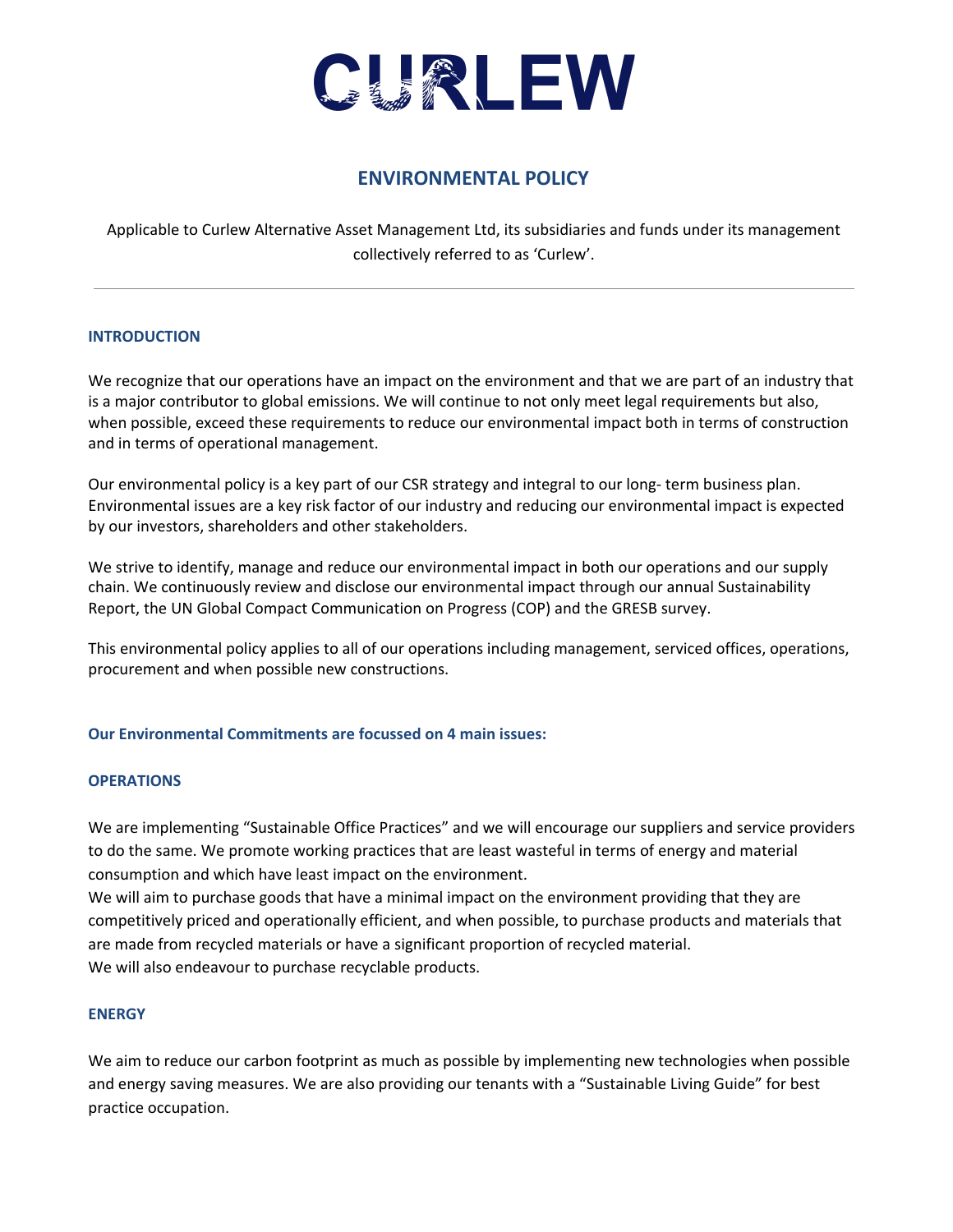

# **ENVIRONMENTAL POLICY**

Applicable to Curlew Alternative Asset Management Ltd, its subsidiaries and funds under its management collectively referred to as 'Curlew'.

# **INTRODUCTION**

We recognize that our operations have an impact on the environment and that we are part of an industry that is a major contributor to global emissions. We will continue to not only meet legal requirements but also, when possible, exceed these requirements to reduce our environmental impact both in terms of construction and in terms of operational management.

Our environmental policy is a key part of our CSR strategy and integral to our long- term business plan. Environmental issues are a key risk factor of our industry and reducing our environmental impact is expected by our investors, shareholders and other stakeholders.

We strive to identify, manage and reduce our environmental impact in both our operations and our supply chain. We continuously review and disclose our environmental impact through our annual Sustainability Report, the UN Global Compact Communication on Progress (COP) and the GRESB survey.

This environmental policy applies to all of our operations including management, serviced offices, operations, procurement and when possible new constructions.

# **Our Environmental Commitments are focussed on 4 main issues:**

#### **OPERATIONS**

We are implementing "Sustainable Office Practices" and we will encourage our suppliers and service providers to do the same. We promote working practices that are least wasteful in terms of energy and material consumption and which have least impact on the environment.

We will aim to purchase goods that have a minimal impact on the environment providing that they are competitively priced and operationally efficient, and when possible, to purchase products and materials that are made from recycled materials or have a significant proportion of recycled material. We will also endeavour to purchase recyclable products.

#### **ENERGY**

We aim to reduce our carbon footprint as much as possible by implementing new technologies when possible and energy saving measures. We are also providing our tenants with a "Sustainable Living Guide" for best practice occupation.